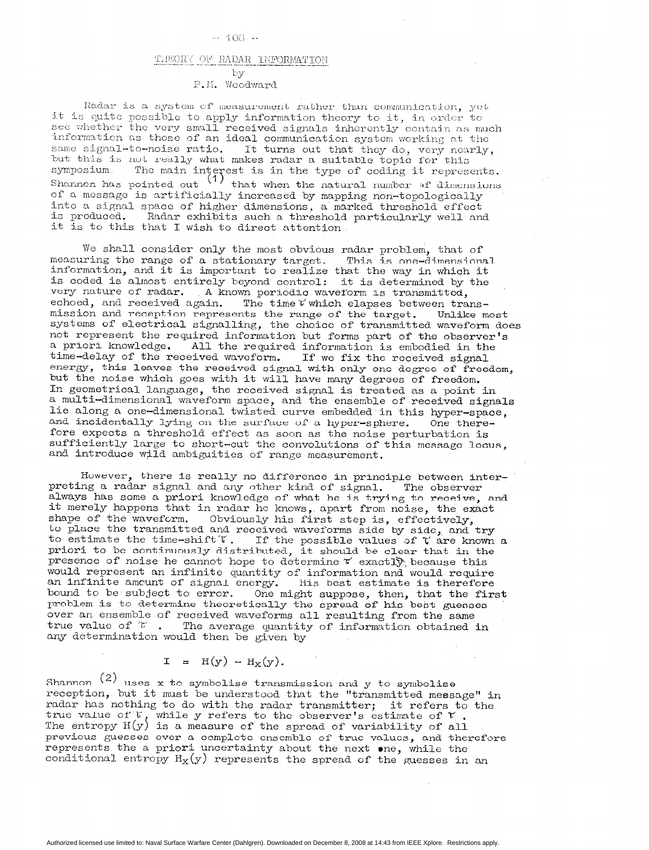### $-100 -$

## THEORY OF RADAR INFORMATION by

## P.M. Woodward

Radar is a system of measurement rather than communication, yet it is quite possible to apply information theory to it, in order to see whether the very small received signals inherently contain as much information as those of an ideal communication system working at the same signal-to-noise ratio. It turns out that they do, very nearl but this is not really what makes radar a suitable topic for th symposium. The main interest is in the type of coding it represer Shannon has pointed out  $\left(1\right)$  that when the natural number  $\delta f$  dimensions of a message is artificially increased by mapping non-topologically into a signal space of higher dimensions, a marked threshold effect is produced. Radar exhibits such a threshold particularly well and it is to this that I wish to direct attention.

We shall consider only the most obvious radar problem, that of measuring the range of a stationary target. This is one-dimensi information, and it is important to realize that the way in which it is coded is almost entirely beyond control: it is determined by the very nature of radar. A known periodic waveform is transmitted, echoed, and received again. The time  $V$  which elapses between transmission and reception represents the range of the target. Unlike most systems of electrical signalling, the choice of transmitted waveform does not represent the required information but forms part of the observer's a priori knowledge. All the 'required information is embodied in the time-delay of the received waveform. If we fix the received signal energy, this leaves the received signal with only one degree of freedom, but the noise which goes with it will have many degrees of freedom. In geometrical language, the received signal is treated as a point in a multi-dimensional waveform space, and the ensemble of reoeived signals lie along a one-dimensional twisted curve embedded in this hyper-space, and incidentally lying on the surface of a hyper-sphere. One therefore expects a threshold effect as soon as the noise perturbation is sufficiently large to short-cut the convolutions of this message locus, and introduce wild ambiguities of range measurement.

However, there is really no difference in principle between interpreting a radar signal and any other kind of signal. The observer always has some a priori knowledge of what he is trying to receive, and it merely happens that in radar he knows, apart from noise, the exact shape of the waveform. Obviously his first step is, effectively, to place the transmitted and received waveforms side by side, and tr to estimate the time-shift  $\tilde{r}$ . If the possible values of  $\tilde{r}$  are known a priori to be continuously distributed, it should be clear that in the presence of noise he cannot hope to determine  $\tilde{\mathbf{r}}$  exactl $\mathbf{\tilde{y}}$  because thi would represent an infinite quantity of information and would requi an infinite amcunt of signal energy. This best estimate is theref bound to be subject to error. One might suppose, then, that the fir problem is to determine theoretically the spread of his best guesse over an ensemble of received waveforms all resulting from the same true value of  $\mathcal T$ . The average quantity of information obtained in any determination would then be given by

$$
I = H(y) - H_X(y).
$$

Shannon  $(2)$  uses x to symbolise transmission and y to symbolise reception, but it must be understood that the "transmitted message" in radar has nothing to do with the radar transmitter; it refers to the true value of The entropy  $H(y)$ while y refers to the observer's estimate of  ${\mathfrak r}$  . is a measure of the spread of variability of all previous guesses over a complete ensemble of true values, and therefore represents the a priori uncertainty about the next one, while the conditional entropy  $H_X(y)$  represents the spread of the guesses in an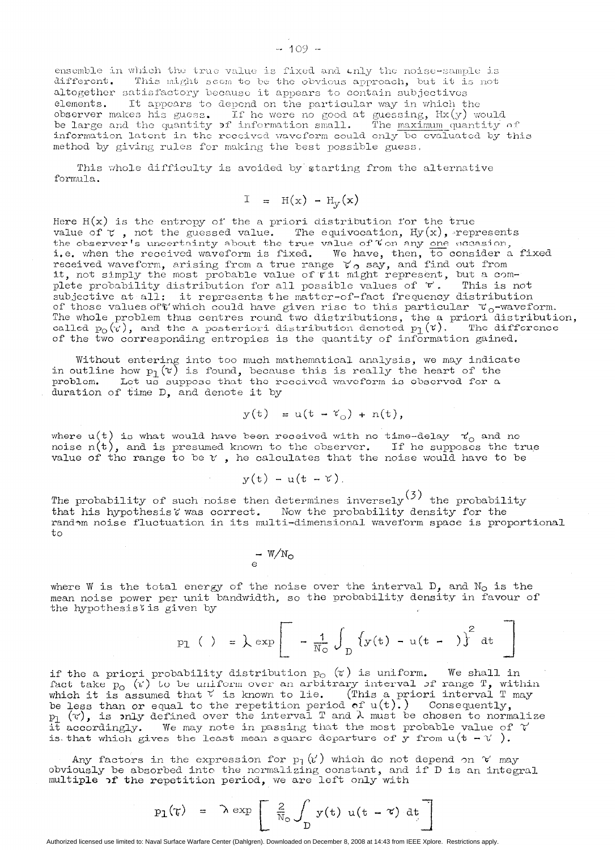ensemble in which the true value is fixed and only the noise-sample is different. This might seem to be the obvious approach, but it is not altogether satisfactory because it appears to contain subjectives elements. It appears to depend on the particular way in which the observer makes his guess. If he were no good at guessing, Hx(y) would<br>be large and the quantity of information small. The <u>maximum</u> quantity of<br>information latent in the received waveform could only be evaluated by this method by giving rules for making the best possible guess.

This whole difficulty is avoided by starting from the alternative formula.

$$
I = H(x) - H_v(x)
$$

Here  $H(x)$  is the entropy of the a priori distribution for the true value of  $\tau$  , not the guessed value. The equivocation,  $\mathrm{Hy(x)}$ , represer the observer's uncertainty about the true value of  $\mathfrak v$  on any one vecasio i.e. when the received waveform is fixed. We have, then, to consider a fixe received waveform, arising from a true range  $V_{\Omega}$  say, and find out from it, not simply the most probable value of  $\tilde{v}$  it might represent, but a complete probability distribution for all possible values of  $\mathscr V$ . This is not subjective at all: it represents the matter-of-fact frequency distribution of those values of t'which could have given rise to this particular  $\tau_o$ -waveform. The whole problem thus centres round two distribut called  $\mathrm{p}_\mathrm{O}(\mathrm{v})$ the a priori distribu and the a posteriori distribution denoted  $p_1(t)$ . The differe of the two corresponding entropies is the quantity of information gained.

Without entering into too much mathematical analysis, we may indicated with  $\alpha$ in outline how  $p_1(\mathfrak{r})$  is found, because this is really the heart of the Problem. Let us suppose that the received waveform is observed for a duration of time  $D$ , and denote it by

$$
y(t) = u(t - \tau_0) + n(t),
$$

where  $u(t)$  is what would have been received with no time-de noise n(t  $\tau_{\cap}'$  and no and is presumed known to the observer. If he supposes the tru value of the range to be  $\mathfrak r$  , he calculates that the noise would have to be

$$
y(t) - u(t - t),
$$

The probability of such noise then determines inversely  $(3)$  the probability that his hypothesis  $\widetilde{v}$  was correct. Now the probability density for the random noise fluctuation in its multi-dimensional waveform space is proportional to

– W/N<br>e

where W is the total energy of the noise over the interval  $D$ , and  $N<sub>O</sub>$  is the mean noise power per unit bandwidth, so the probability density in favour of the hypothesislis given by

$$
p_1 \t( ) = \t{exp} \left[ -\frac{1}{N_0} \int_{D} \left\{ y(t) - u(t - ) \right\}^2 dt \right]
$$

if the a priori probability distribution  $p_{\rm O}$  (T) is uniform. We shall in fact take  $p_{0}$  ( $\gamma$ ) to be uniform over an arbitrary interval *of* range T, with which it is assumed that  $\sqrt{v}$  is known to lie. (This a priori interval T may be less than or equal to the repetition period of  $u(t)$ .) Consequent  $\mathbf{p}_1$  (v), is only defined over the interval T and  $\lambda$  must be chosen to normalize it accordingly. We may note in passing that the most probable value of  $\gamma$ is that which gives the least mean square departure of y from  $u(t - v')$ .

Any factors in the expression for  $p_1(k')$  which do not depend on  $k'$  may obviously be absorbed into the normalizing constant, and if D is an integ multiple  $\sigma f$  the repetition period, we are left only wit

$$
p_1(\tau) = \lambda \exp \left[ \frac{2}{N_0} \int_D y(t) u(t - \tau) dt \right]
$$

Authorized licensed use limited to: Naval Surface Warfare Center (Dahlgren). Downloaded on December 8, 2008 at 14:43 from IEEE Xplore. Restrictions apply.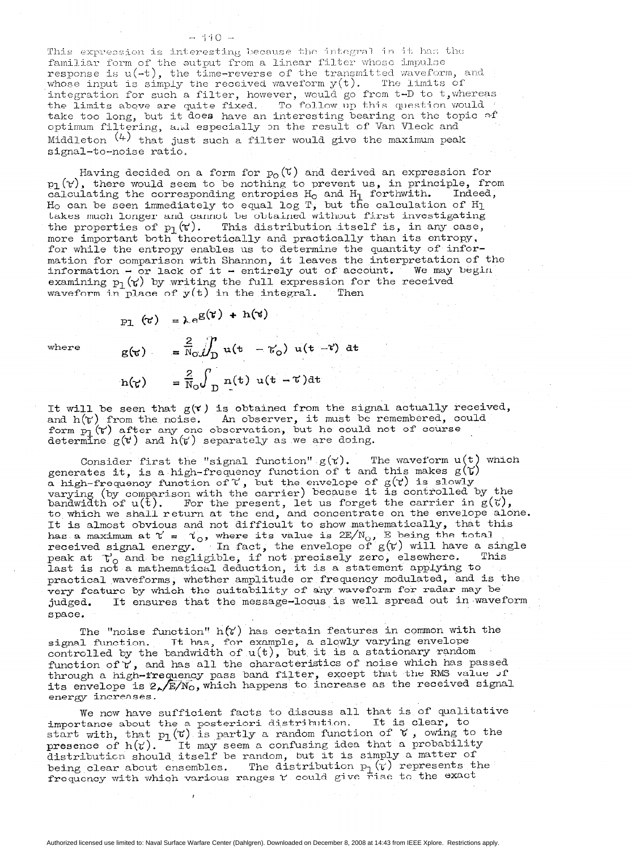#### $-110 -$

This expression is interesting because the integral in it has the familiar form of the output from a linear filter whose impulse response is  $u(-t)$ , the time-reverse of the transmitted waveform, and whose input is simply the received waveform  $y(t)$ . The limits of integration for such a filter, however, would go from t-D to t, whereas the limits above are quite fixed. To follow up this question woul take too long, but it does have an interesting bearing on the topic  $\sim$ optimum filtering, and especially on the result of Van Vleck and Middleton  $(4)$  that just such a filter would give the maximum peak signal-to-noise ratio,

Having decided on a form for  $p_0(\tau)$  and derived an expression for  $p_1(Y)$ , there would seem to be nothing to prevent us, in principle, from calculating the corresponding entropies  $H_0$  and  $H_1$  forthwith. Indeed, calculating the corresponding entropies  ${\tt H}_{\tt O}$  and  ${\tt H}_{\tt I}$  forthwith. Indeed H<sub>o</sub> can be seen immediately to equal log T, but the calculation of H<sub>l</sub> takes much longer and cannot be obtained without first investigating the properties of  $p_1(r)$ . This distribution itself is, in any case, more important both theoretically and practically than its entropy, for while the entropy enables us to determine the quantity of information for comparison with Shannon, it leaves the interpretation of the information - or lack of it - entirely out of account. We may begi examining  $p_1(\gamma)$  by writing the full expression for the received waveform in place of  $y(t)$  in the integral. Then

where

$$
p_1 (t) = \lambda e^{g(t) + h(t)}
$$
  
\n
$$
g(t) = \frac{2}{N_0} \iint_D u(t - t_0) u(t - t) dt
$$
  
\n
$$
h(t) = \frac{2}{N_0} \int_D n(t) u(t - t) dt
$$

It will be seen that  $g(x)$  is obtained from the signal actually received, and  $h(r)$  from the noise. An observer, it must be remembered, coul form  $_{\rm P1}$  ( $_{\rm V}$ ) after any one observation, but he could not of cours determine  $g(\mathbf{t})$  and  $h(\mathbf{t})$  separately as we are doing.

Consider first the "signal function"  $g(\tau)$ . The waveform  $u(t)$  which generates it, is a high-frequency function of t and this makes  $g(Y)$ a high-frequency function of  $\mathfrak{c}$  , but the envelope of  $g(\mathfrak{r})$  is slow. varying (by comparison with the carrier) because it is controlled by the bandwidth of  $u(t)$ . For the present, let us forget the carrier in  $g(7)$ to which we shall return at the end, and concentrate on the envelope alone. It is almost obvious and not difficult to show mathematically, that this has a maximum at  $\Upsilon$  =  $\Upsilon_o$ , where its value is 2E/N<sub>o</sub>, E being the tot received signal energy. In fac peak at  $\mathcal{T}_0$  and be negligi the envelope of  $g(V)$  will have a sin if not precisely zero, elsewher last is not a mathematical deduction, it is a statement applying to practical waveforms, whether amplitude or frequency modulated, and is the very feature by which the suitability of any waveform for radar may be judged. It ensures that the message-locus is well spread out in wavef space.

The "noise function"  $h(Y)$  has certain features in common with the signal function. It has, for example, a slowly varying envelope controlled by the bandwidth of  $u(t)$ , but it is a stationary random function of  $Y$ , and has all the characteristics of noise which has passed through a high-frequency pass band filter, except that the RMS value Jf its envelope is  $2\sqrt{\mathrm{E/N_\mathrm{O}}}$ , which happens to increase as the received signal energy increases.

We now have sufficient facts to discuss all that is of qualitative importance about the a Posteriori distribution. It is clear, to start with, that  $p_1(\tau)$  is partly a random function of  $\tau$ , owing to the presence of h $(t)$ . It may seem a confusing idea that a probability distribution should-itself be random, but it is simply a matter of being clear about ensembles. The distribution  $p_1(r)$  represents the frequency with which various ranges  $r$  could give rise to the exact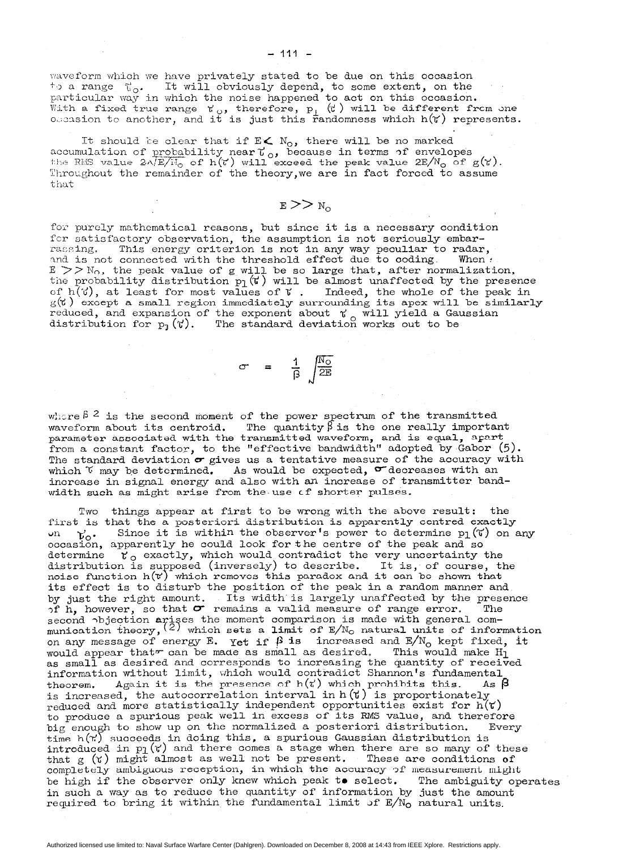waveform which we have privately stated to be due on this occasion  $\vdash$  a range  $\uparrow$ <sub>o</sub>. It will obviously depend, to some extent, on the particular way in which the noise happened to act on this occasio With a fixed true range  $\kappa_{\rm oo}$ , therefore,  $p_i$  (t) will be different from one ossasion to another, and it is just this randomness which  $h(Y)$  represen

It should be clear that if  $\mathbb{E}\mathbf{\leqslant{N_0}}$ , there will be no marked accumulation of <u>probability</u> near (,, because in terms of envelopes<br>the RES value 2^/E/N<sub>o</sub> of h(C) will exceed the peak value 2E/N<sub>o</sub> of g(Y) Throughout the remainder of the theory,we are in fact forced to assume that

# $E>>N_{\rm o}$

for purely mathematical reasons, but since it is a necessary condition fcr satisfactory observation, the assumption is not seriously embarrassing. This energy criterion is not in any way peculiar to rada and is not connected with the threshold effect due to coding. When  $\ell$  $E$   $>>$   $N_O$ , the peak value of g will be so large that, after normalization, the probability distribution  $p_1(\tau)$  will be almost unaffected by the presenc of h( $\vec{v}$ ), at least for most values of  $\vec{v}$  . Indeed, the whole of the peak in  $g(\vec{v}\,)$  except a small region immediately surrounding its apex will be simila reduced, and expansion of the exponent about  $\gamma$ distribution for  $p_1(Y)$ . will yield a Gaussia The standard deviation works out to be

where  $\beta$  2 is the second moment of the power spectrum of the transmitted waveform about its centroid. The quantity  $\beta$  is the one really important parameter associated with the transmitted waveform, and is equal, apart from a constant factor, to the "effective bandwidth" adopted by Gabor (5). The standard deviation  $\sigma$  gives us a tentative measure of the accuracy with which  $\mathcal V$  may be determined. As would be expected,  $\sigma$  decreases with an increase in signal energy and also with an increase of transmitter bandwidth such as might arise from the use of shorter pulse

 $\sigma = \frac{1}{\beta} \sqrt{\frac{N_O}{2E}}$ 

Two things appear at first to be wrong with the above result: the first is that the a posteriori distribution is apparently centred exactly  $\mathsf{u}$ occasion, apparently he could look for the centre of the peak and so  $v_o$ . Since it is within the observer's power to determine pl( $\vec{v}$ ) on any determine  $\;{\tt v}_{\rm o}\;$  exactly, which would contradict the very uncertainty the distribution is supposed (inversely) to descri noise function  $h(\mathfrak{r}')$ It is, of course, the which removes this paradox and it can be shown tha its effect is to disturb the position of the peak in a random manner and by just the right amount. Its width is largely unaffected by the presen of h, however, so that  $\sigma$  remains a valid measure of range error. The second objection ar munication theory,  $(2)$ es the moment comparison is made with general comwhich sets a limit of  $\mathbb{E}/\mathbb{N}_\mathbb{O}$  natural units of informat on any message of energy E. Yet if  $\beta$  is increased and  $\text{E/N}_\text{O}$  kept fixed, i would appear that $\tau$  can be made as small as desired. This would make  ${\rm H}_1$ as small as desired and corresponds to increasing the quantity of receiv information without limit, which would contradict Shannon's fundament theorem. Again it is the presence of  $h(i')$  which prohibits this. As  $\boldsymbol{\beta}$ is increased, the autocorrelation interval in  $h(\tau)$  is proportion reduced and more statistically independent opportunities exist for  $h(Y)$ to produce a spurious peak well in excess of its RMS value, and therefore big enough to show up on the normalized a posteriori distribution. Every time h( $t$ ) succeeds in doing thi introduced in pi(\ a spurious Gaussian distribution is and there comes a stage when there are so many of thes that g (x) might almost as well not be present. These are conditions of completely ambiguous reception, in which the accuracy of measurement might be high if the observer only knew which peak to select. The ambiguity operates in such a way as to reduce the quantity of information by just the amount required to bring it within the fundamental limit of  $E/N<sub>O</sub>$  natural units.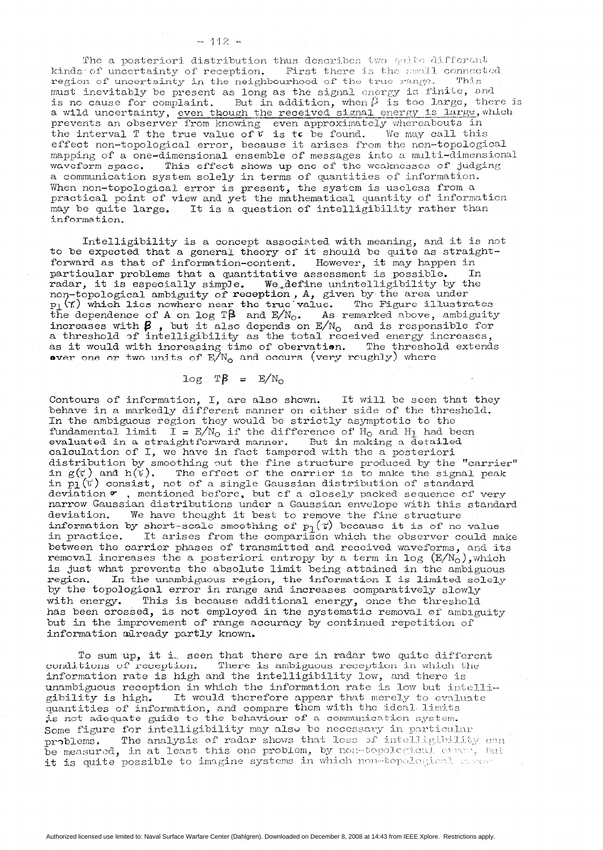The a posteriori distribution thus describes two quite different kinds of uncertainty of reception. First there is the small connected region of uncertainty in the neighbourhood of the true range. This must inevitably be present as long as the signal energy is finite, and is no cause for complaint. But in addition, when  $\beta$  is too large, there is a wild uncertainty, even though the received signal energy is large, wh a wild uncertainty, even though the received signal energy is large,<br>prevents an observer from knowing even approximately whereabouts in the interval T the true value of  $V$  is to be found. We may call thi effect non-topological error, because it arises from the non-topological mapping of a one-dimensional ensemble of messages into a multi-dimensional waveform space. This effect shows up one of the weaknesses of judging a communication system solely in terms of quantities of information. When non-topological error is present, the system is useless from a practical point of view and yet the mathematical quantity of information may be quite large. It is a question of intelligibility rather than information.

Intelligibility is a concept associated with meaning, and it is not to be expected that a general theory of it should be quite as straightforward as that of information-content. However, it may happen in particular problems that a quantitative assessment is possible. In radar, it is especially simple. We define unintelligibility by the non-topological ambiguity of reception,  $A$ , given by the area unde  $_{\mathrm{p}_{\mathrm{1}}}$  (T) which lies nowhere near the true value. The Figure illustr the dependence of A on log T $\beta$  and  $\mathbb{E}/\mathbb{N}_\mathbb{O}$ . As remarked above, ambiguit increases with  $\boldsymbol{\beta}$  , but it also depends on  $\mathbb{E}/\mathrm{N}_\mathrm{O}$  and is responsible for a threshold of intelligibility as the total received energy increas as it would with increasing time of obervation. The threshold extend over one or two units of  $E/N_{\rm o}$  and occurs (very roughly) where

$$
\log T\beta = E/N_{\rm o}
$$

Contours of information, I, are also shown. It will be seen that they behave in a markedly different manner on either side of the threshold. In the ambiguous region they would be strictly asymptotic to the fundamental limit  $I = E/N_0$  if the difference of  $H_0$  and  $H_1$  had been evaluated in a straightforward manner. But in making a detail calculation of I, we have in fact tampered with the a poster: distribution by smoothing out the fine structure produced by the "carrier" in  $\mathsf{g}(\vec{\mathsf{v}}\,)$  and  $\mathsf{h}(\vec{\mathsf{v}}\,)$ . The effect of the carrier is to make the signal peak in p1(V) consist, not of a single Gaussian distribution of standa deviation  $\sigma$ , mentioned before, but cf a closely packed sequence of very narrow Gaussfan distributions under a Gaussian envelope with this standard deviation. We have thought it best to remove the fine struct information by short-scale smoothing of  $p_1(\tau)$  because it is of no valu in practice. It arises from the comparison which the observer could make between the carrier phases of transmitted and received waveforms, and its removal increases the a posteriori entropy by a term in log  $(E/N_0)$ , which is just what prevents the absolute limit being attained in the ambiguous region. In the unambiguous region, the information I is limited solely by the topological error in range and increases comparatively slowly with energy. This is because additional energy, once the threshold has been crossed, is not employed in the systematic removal of ambiguity but in the improvement of range accuracy by continued repetition of information already partly known.

To sum up, it i, seen that there are in radar two quite different conditions of reception. There is ambiguous reception in which the information rate is high and the intelligibility low, and there is unambiguous reception in which the information rate is low but intelligibility is high. It would therefore appear that merely to evaluat quantities of information, and compare them with the ideal limits is not adequate guide to the behaviour of a communication  $\operatorname{system}$ Some figure for intelligibility may also be necessary in particular problems. The analysis of radar shows that loss of intelligibility can  $\bar{\text{b}}$ e measured, in at least this one problem, by non-topological cares, but it is quite possible to imagine systems in which non-topological assert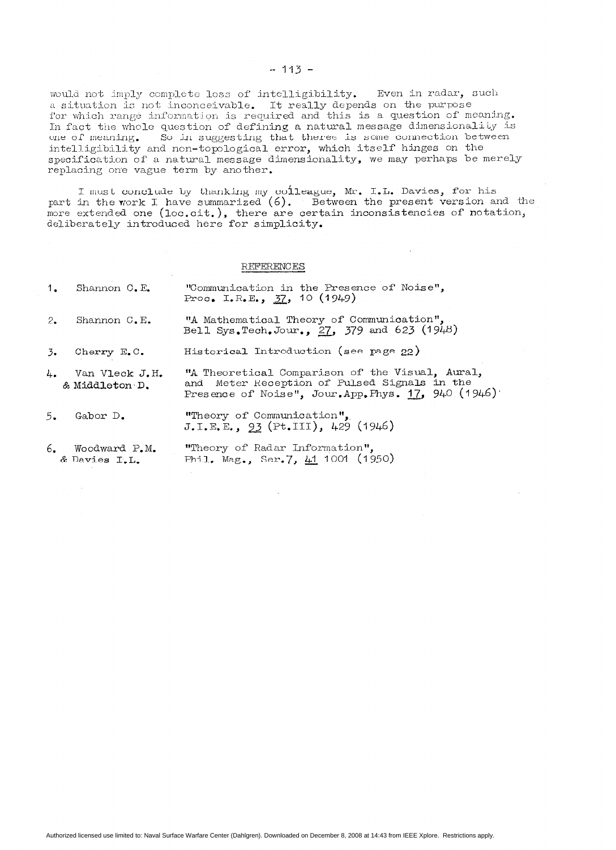would not imply complete loss of intelligibility. a situation is not inconceivable. It really depends on the purpos Even in radar, sucli for which range information is required and this is a question of meaning. In fact the whole question of defining a natural message dimensionality is one of meaning. So in suggesting that theree is some connection between intelligibility and non-topological error, which itself hinges on the specification of a natural message dimensionality, we may perhaps be merely replacing one vague term by another.

I must conclude by thanking my colleague, Mr. I.L. Davies, for his part in the work I have summarized  $(6)$ . Between the present version and the more extended one (loc.cit.), there are certain inconsistencies of notati deliberately introduced here for simplic

## **REFERENCES**

|                  | 1. Shannon C.E.                     | "Communication in the Presence of Noise",<br>Proc. I.R.E., $37, 10 (1949)$                                                                         |
|------------------|-------------------------------------|----------------------------------------------------------------------------------------------------------------------------------------------------|
| 2.               | Shannon C.E.                        | "A Mathematical Theory of Communication",<br>Bell Sys.Tech.Jour., 27, 379 and 623 (1948)                                                           |
| $\overline{3}$ . | Cherry E.C.                         | Historical Introduction (see page 22)                                                                                                              |
|                  | 4. Van Vleck J.H.<br>& Middleton D. | "A Theoretical Comparison of the Visual, Aural,<br>and Meter Reception of Pulsed Signals in the<br>Presence of Noise", Jour.App.Phys. 17, 940 (194 |
| 5.               | Gabor D.                            | "Theory of Communication",<br>J.L.E.E., 93 (Pt.III), 429 (1946)                                                                                    |

6. Woodward P.M. & Davies I.L. "Theory of Radar Information", Phil. Mag., Ser. 7,  $\frac{11}{1001}$  (1950)